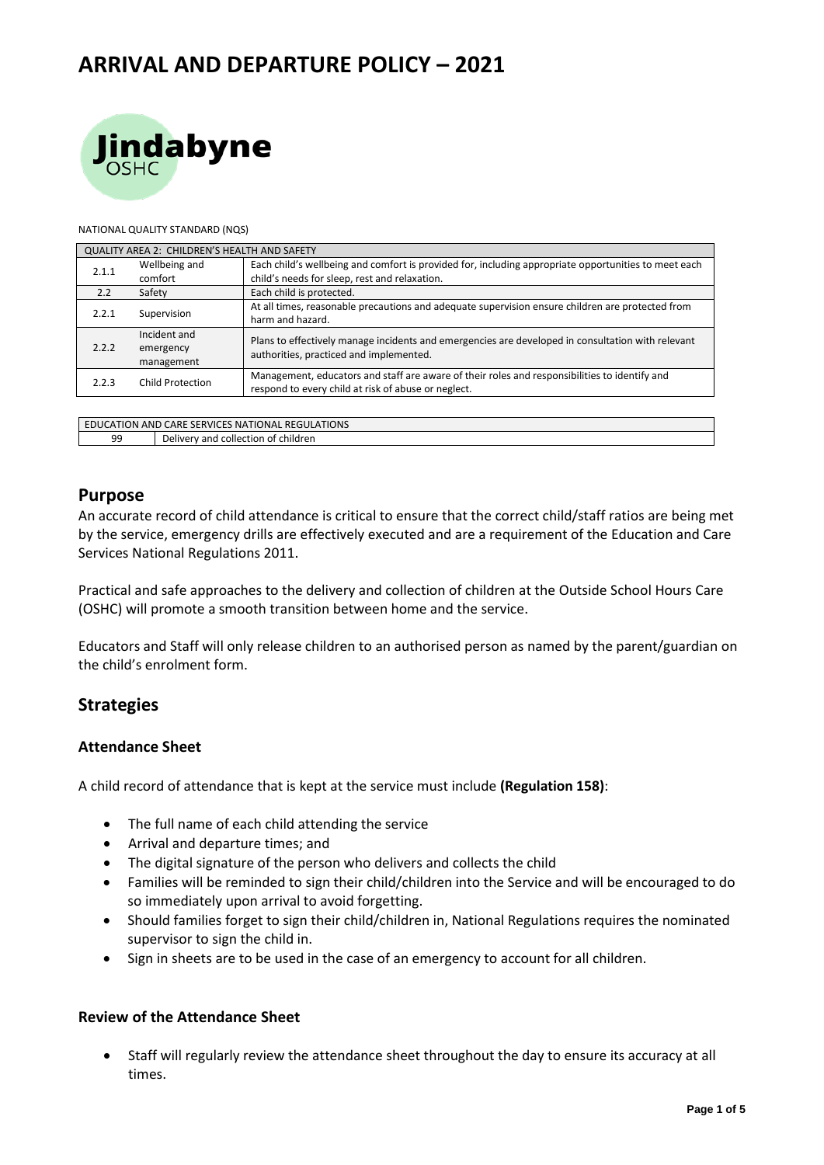# **ARRIVAL AND DEPARTURE POLICY – 2021**



#### NATIONAL QUALITY STANDARD (NQS)

| QUALITY AREA 2: CHILDREN'S HEALTH AND SAFETY |                  |                                                                                                                                              |  |  |  |
|----------------------------------------------|------------------|----------------------------------------------------------------------------------------------------------------------------------------------|--|--|--|
| 2.1.1                                        | Wellbeing and    | Each child's wellbeing and comfort is provided for, including appropriate opportunities to meet each                                         |  |  |  |
|                                              | comfort          | child's needs for sleep, rest and relaxation.                                                                                                |  |  |  |
| 2.2                                          | Safety           | Each child is protected.                                                                                                                     |  |  |  |
| 2.2.1                                        | Supervision      | At all times, reasonable precautions and adequate supervision ensure children are protected from                                             |  |  |  |
|                                              |                  | harm and hazard.                                                                                                                             |  |  |  |
| 2.2.2                                        | Incident and     | Plans to effectively manage incidents and emergencies are developed in consultation with relevant<br>authorities, practiced and implemented. |  |  |  |
|                                              | emergency        |                                                                                                                                              |  |  |  |
|                                              | management       |                                                                                                                                              |  |  |  |
| 2.2.3                                        | Child Protection | Management, educators and staff are aware of their roles and responsibilities to identify and                                                |  |  |  |
|                                              |                  | respond to every child at risk of abuse or neglect.                                                                                          |  |  |  |
|                                              |                  |                                                                                                                                              |  |  |  |
|                                              |                  |                                                                                                                                              |  |  |  |

EDUCATION AND CARE SERVICES NATIONAL REGULATIONS 99 Delivery and collection of children

#### **Purpose**

An accurate record of child attendance is critical to ensure that the correct child/staff ratios are being met by the service, emergency drills are effectively executed and are a requirement of the Education and Care Services National Regulations 2011.

Practical and safe approaches to the delivery and collection of children at the Outside School Hours Care (OSHC) will promote a smooth transition between home and the service.

Educators and Staff will only release children to an authorised person as named by the parent/guardian on the child's enrolment form.

#### **Strategies**

#### **Attendance Sheet**

A child record of attendance that is kept at the service must include **(Regulation 158)**:

- The full name of each child attending the service
- Arrival and departure times; and
- The digital signature of the person who delivers and collects the child
- Families will be reminded to sign their child/children into the Service and will be encouraged to do so immediately upon arrival to avoid forgetting.
- Should families forget to sign their child/children in, National Regulations requires the nominated supervisor to sign the child in.
- Sign in sheets are to be used in the case of an emergency to account for all children.

#### **Review of the Attendance Sheet**

• Staff will regularly review the attendance sheet throughout the day to ensure its accuracy at all times.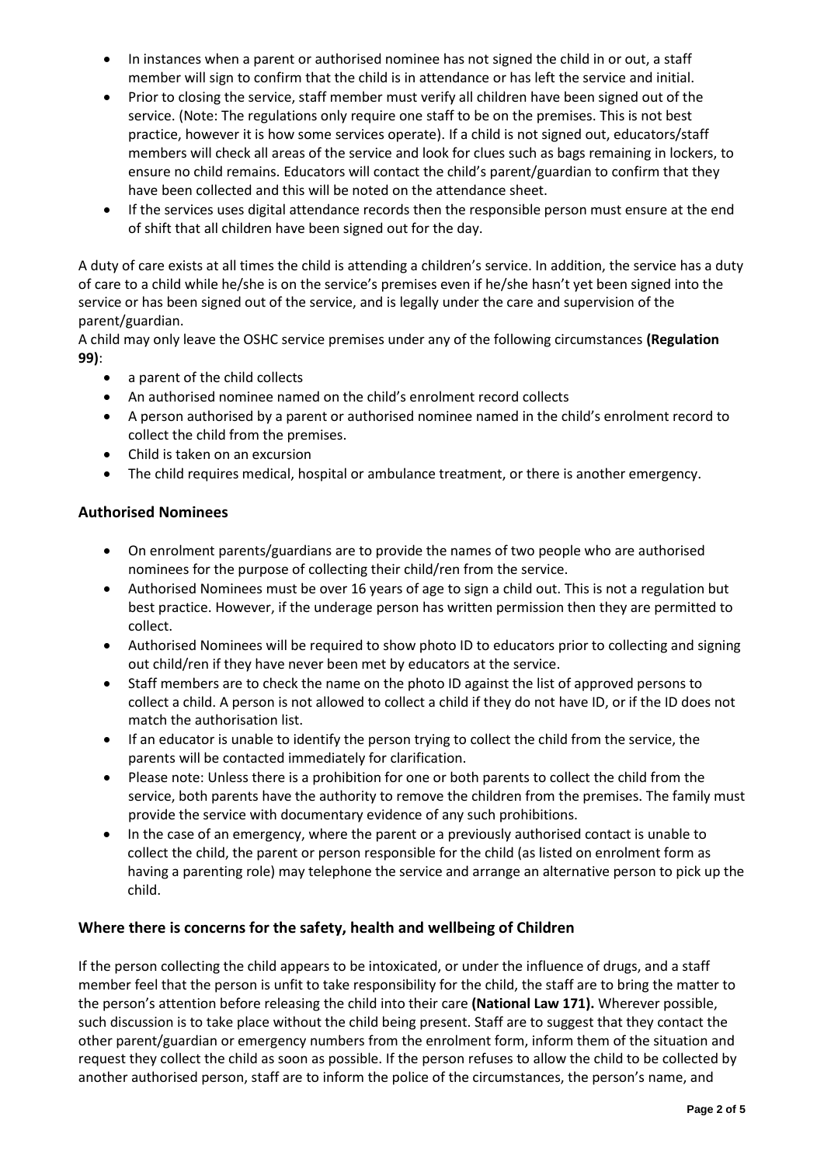- In instances when a parent or authorised nominee has not signed the child in or out, a staff member will sign to confirm that the child is in attendance or has left the service and initial.
- Prior to closing the service, staff member must verify all children have been signed out of the service. (Note: The regulations only require one staff to be on the premises. This is not best practice, however it is how some services operate). If a child is not signed out, educators/staff members will check all areas of the service and look for clues such as bags remaining in lockers, to ensure no child remains. Educators will contact the child's parent/guardian to confirm that they have been collected and this will be noted on the attendance sheet.
- If the services uses digital attendance records then the responsible person must ensure at the end of shift that all children have been signed out for the day.

A duty of care exists at all times the child is attending a children's service. In addition, the service has a duty of care to a child while he/she is on the service's premises even if he/she hasn't yet been signed into the service or has been signed out of the service, and is legally under the care and supervision of the parent/guardian.

A child may only leave the OSHC service premises under any of the following circumstances **(Regulation 99)**:

- a parent of the child collects
- An authorised nominee named on the child's enrolment record collects
- A person authorised by a parent or authorised nominee named in the child's enrolment record to collect the child from the premises.
- Child is taken on an excursion
- The child requires medical, hospital or ambulance treatment, or there is another emergency.

#### **Authorised Nominees**

- On enrolment parents/guardians are to provide the names of two people who are authorised nominees for the purpose of collecting their child/ren from the service.
- Authorised Nominees must be over 16 years of age to sign a child out. This is not a regulation but best practice. However, if the underage person has written permission then they are permitted to collect.
- Authorised Nominees will be required to show photo ID to educators prior to collecting and signing out child/ren if they have never been met by educators at the service.
- Staff members are to check the name on the photo ID against the list of approved persons to collect a child. A person is not allowed to collect a child if they do not have ID, or if the ID does not match the authorisation list.
- If an educator is unable to identify the person trying to collect the child from the service, the parents will be contacted immediately for clarification.
- Please note: Unless there is a prohibition for one or both parents to collect the child from the service, both parents have the authority to remove the children from the premises. The family must provide the service with documentary evidence of any such prohibitions.
- In the case of an emergency, where the parent or a previously authorised contact is unable to collect the child, the parent or person responsible for the child (as listed on enrolment form as having a parenting role) may telephone the service and arrange an alternative person to pick up the child.

#### **Where there is concerns for the safety, health and wellbeing of Children**

If the person collecting the child appears to be intoxicated, or under the influence of drugs, and a staff member feel that the person is unfit to take responsibility for the child, the staff are to bring the matter to the person's attention before releasing the child into their care **(National Law 171).** Wherever possible, such discussion is to take place without the child being present. Staff are to suggest that they contact the other parent/guardian or emergency numbers from the enrolment form, inform them of the situation and request they collect the child as soon as possible. If the person refuses to allow the child to be collected by another authorised person, staff are to inform the police of the circumstances, the person's name, and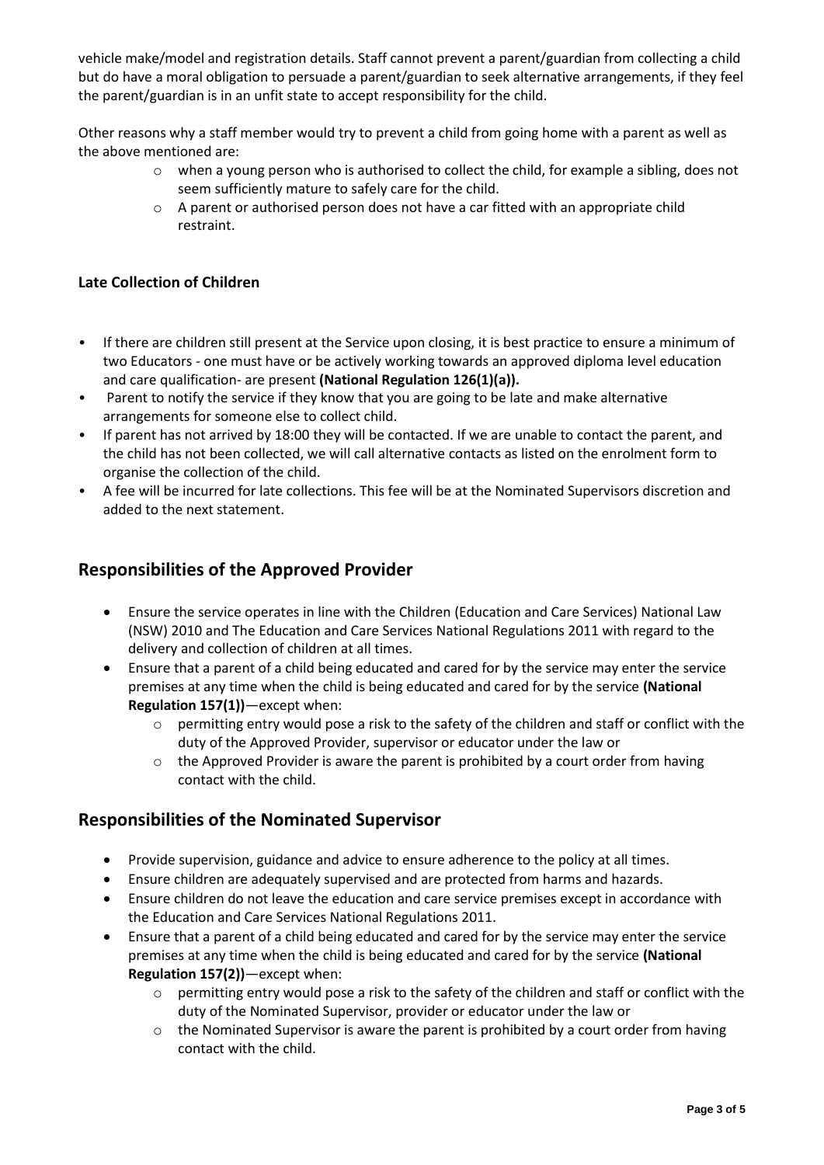vehicle make/model and registration details. Staff cannot prevent a parent/guardian from collecting a child but do have a moral obligation to persuade a parent/guardian to seek alternative arrangements, if they feel the parent/guardian is in an unfit state to accept responsibility for the child.

Other reasons why a staff member would try to prevent a child from going home with a parent as well as the above mentioned are:

- o when a young person who is authorised to collect the child, for example a sibling, does not seem sufficiently mature to safely care for the child.
- o A parent or authorised person does not have a car fitted with an appropriate child restraint.

#### **Late Collection of Children**

- If there are children still present at the Service upon closing, it is best practice to ensure a minimum of two Educators - one must have or be actively working towards an approved diploma level education and care qualification- are present **(National Regulation 126(1)(a)).**
- Parent to notify the service if they know that you are going to be late and make alternative arrangements for someone else to collect child.
- If parent has not arrived by 18:00 they will be contacted. If we are unable to contact the parent, and the child has not been collected, we will call alternative contacts as listed on the enrolment form to organise the collection of the child.
- A fee will be incurred for late collections. This fee will be at the Nominated Supervisors discretion and added to the next statement.

#### **Responsibilities of the Approved Provider**

- Ensure the service operates in line with the Children (Education and Care Services) National Law (NSW) 2010 and The Education and Care Services National Regulations 2011 with regard to the delivery and collection of children at all times.
- Ensure that a parent of a child being educated and cared for by the service may enter the service premises at any time when the child is being educated and cared for by the service **(National Regulation 157(1))**—except when:
	- o permitting entry would pose a risk to the safety of the children and staff or conflict with the duty of the Approved Provider, supervisor or educator under the law or
	- o the Approved Provider is aware the parent is prohibited by a court order from having contact with the child.

### **Responsibilities of the Nominated Supervisor**

- Provide supervision, guidance and advice to ensure adherence to the policy at all times.
- Ensure children are adequately supervised and are protected from harms and hazards.
- Ensure children do not leave the education and care service premises except in accordance with the Education and Care Services National Regulations 2011.
- Ensure that a parent of a child being educated and cared for by the service may enter the service premises at any time when the child is being educated and cared for by the service **(National Regulation 157(2))**—except when:
	- $\circ$  permitting entry would pose a risk to the safety of the children and staff or conflict with the duty of the Nominated Supervisor, provider or educator under the law or
	- $\circ$  the Nominated Supervisor is aware the parent is prohibited by a court order from having contact with the child.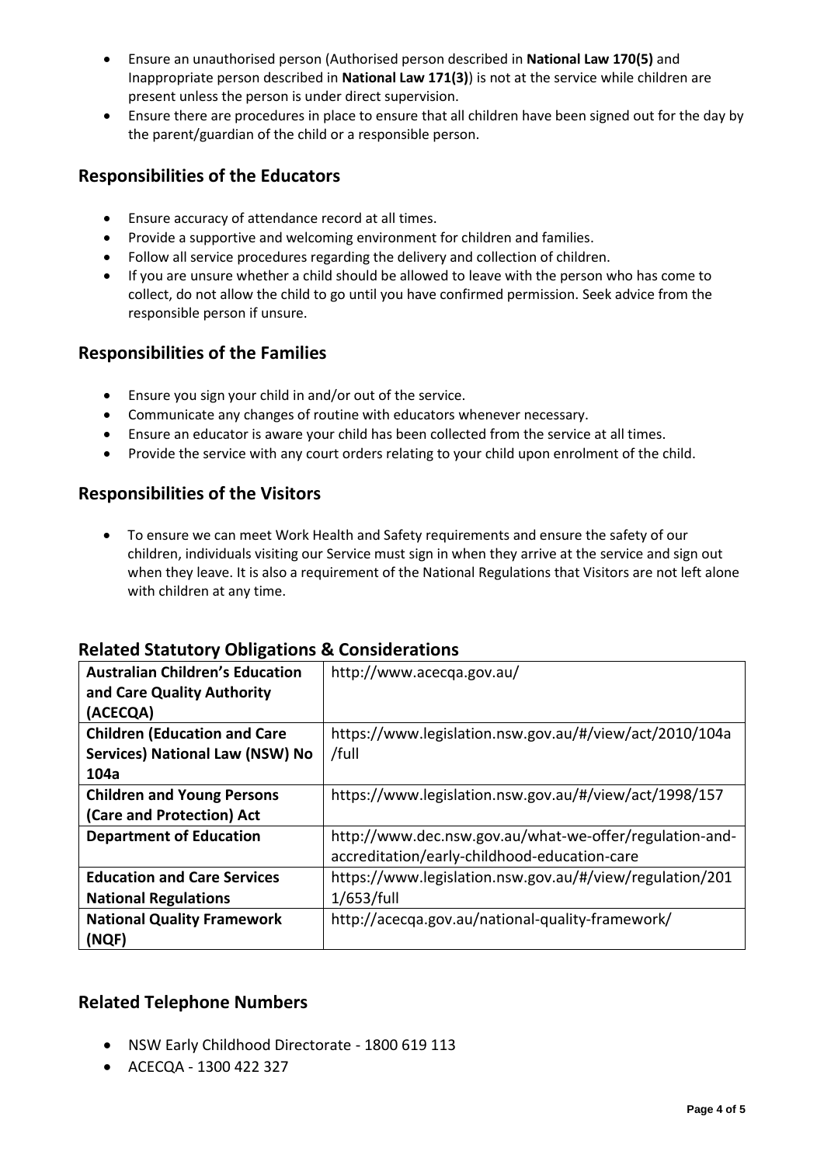- Ensure an unauthorised person (Authorised person described in **National Law 170(5)** and Inappropriate person described in **National Law 171(3)**) is not at the service while children are present unless the person is under direct supervision.
- Ensure there are procedures in place to ensure that all children have been signed out for the day by the parent/guardian of the child or a responsible person.

## **Responsibilities of the Educators**

- Ensure accuracy of attendance record at all times.
- Provide a supportive and welcoming environment for children and families.
- Follow all service procedures regarding the delivery and collection of children.
- If you are unsure whether a child should be allowed to leave with the person who has come to collect, do not allow the child to go until you have confirmed permission. Seek advice from the responsible person if unsure.

### **Responsibilities of the Families**

- Ensure you sign your child in and/or out of the service.
- Communicate any changes of routine with educators whenever necessary.
- Ensure an educator is aware your child has been collected from the service at all times.
- Provide the service with any court orders relating to your child upon enrolment of the child.

### **Responsibilities of the Visitors**

• To ensure we can meet Work Health and Safety requirements and ensure the safety of our children, individuals visiting our Service must sign in when they arrive at the service and sign out when they leave. It is also a requirement of the National Regulations that Visitors are not left alone with children at any time.

### **Related Statutory Obligations & Considerations**

| <b>Australian Children's Education</b><br>and Care Quality Authority | http://www.acecga.gov.au/                                |
|----------------------------------------------------------------------|----------------------------------------------------------|
| (ACECQA)                                                             |                                                          |
| <b>Children (Education and Care</b>                                  | https://www.legislation.nsw.gov.au/#/view/act/2010/104a  |
| <b>Services) National Law (NSW) No</b>                               | /full                                                    |
| 104a                                                                 |                                                          |
| <b>Children and Young Persons</b>                                    | https://www.legislation.nsw.gov.au/#/view/act/1998/157   |
| (Care and Protection) Act                                            |                                                          |
| <b>Department of Education</b>                                       | http://www.dec.nsw.gov.au/what-we-offer/regulation-and-  |
|                                                                      | accreditation/early-childhood-education-care             |
| <b>Education and Care Services</b>                                   | https://www.legislation.nsw.gov.au/#/view/regulation/201 |
| <b>National Regulations</b>                                          | $1/653$ /full                                            |
| <b>National Quality Framework</b>                                    | http://acecqa.gov.au/national-quality-framework/         |
| (NQF)                                                                |                                                          |

### **Related Telephone Numbers**

- NSW Early Childhood Directorate 1800 619 113
- ACECQA 1300 422 327